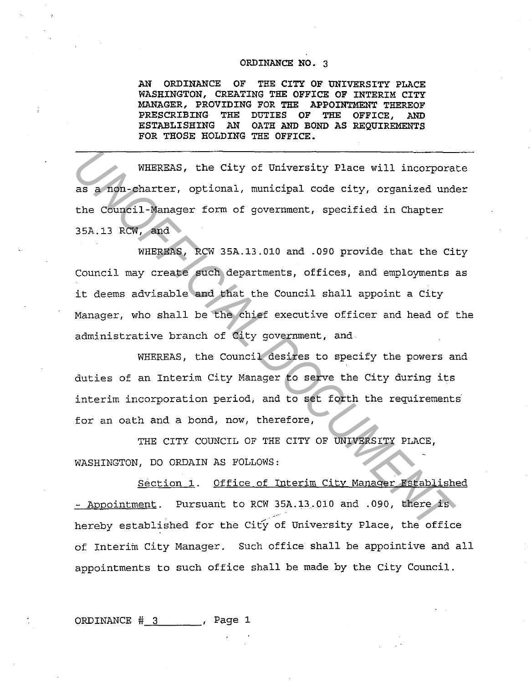## ORDINANCE NO. 3

AN ORDINANCE OF THE CITY OF UNIVERSITY PLACE WASHINGTON, CREATING THE OFFICE OF INTERIM CITY MANAGER, PROVIDING FOR THE APPOINTMENT THEREOF PRESCRIBING THE DUTIES OF THE OFFICE, AND ESTABLISHING AN OATH AND BOND AS REQUIREMENTS FOR THOSE HOLDING THE OFFICE.

WHEREAS, the City of University Place will incorporate as a non-charter, optional, municipal code city, organized under the Council-Manager form of government, specified in Chapter 3SA.13 RCW, and

WHEREAS, RCW 3SA.13.010 and .090 provide that the City Council may create such departments, offices, and employments as it deems advisable and that the Council shall appoint a City Manager, who shall be the chief executive officer and head of the administrative branch of City government, and **WHEREAS, the City of University Place will incorpora**<br>as a non-charter, optional, municipal code city, organized und<br>the Council-Manager form of government, specified in Chapter<br>35A.13 RCW, and<br>WHEREAS, RCW 35A.13.010 and

WHEREAS, the Council desires to specify the powers and duties of an Interim City Manager to serve the City during its interim incorporation period, and to set forth the requirements for an oath and a bond, now, therefore,

THE CITY COUNCIL OF THE CITY OF UNIVERSITY PLACE, WASHINGTON, DO ORDAIN AS FOLLOWS:

Section 1. Office of Interim City Manager Established - Appointment. Pursuant to RCW 35A.13.010 and .090, there is hereby established for the City of University Place, the office of Interim City Manager. Such office shall be appointive and all appointments to such office shall be made by the City Council.

ORDINANCE  $#3$  . Page 1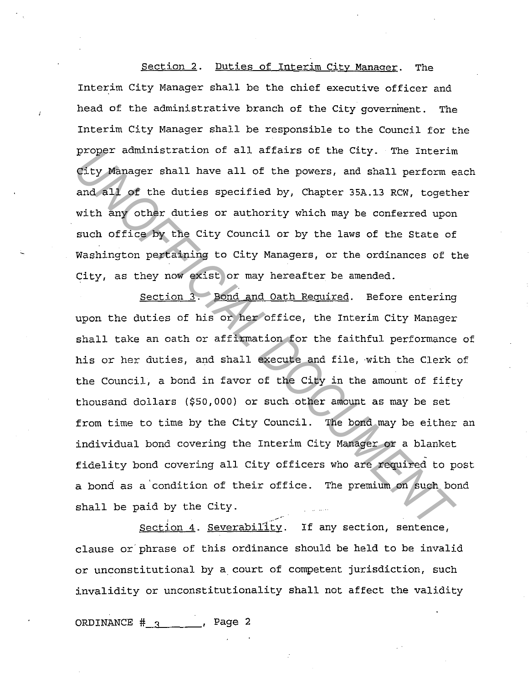## Section 2. Duties of Interim City Manager. The Interim City Manager shall be the chief executive officer and head of the administrative branch of the City government. The Interim City Manager shall be responsible to the Council for the proper administration of all affairs of the City. The Interim City Manager shall have all of the powers, and shall perform each and all of the duties specified by, Chapter 35A.13 RCW, together with any other duties or authority which may be conferred upon such office by the City Council or by the laws of the State of Washington pertaining to City Managers, or the ordinances of the City, as they now exist or may hereafter be amended.

Section 3. Bond and Oath Required. Before entering upon the duties of his or her office, the Interim City Manager shall take an oath or affirmation for the faithful performance of his or her duties, and shall execute and file, with the Clerk of the Council, a bond in favor of the City in the amount of fifty thousand dollars (\$50,000) or such other amount as may be set from time to time by the City Council. The bond may be either an individual bond covering the Interim City Manager or a blanket fidelity bond covering all City officers who are required to post a bond as a'condition of their office. The premium on such bond shall be paid by the City. proper amunistration or all attairs of the City. The internet<br>City Manager shall have all of the powers, and shall perform e<br>and all of the duties specified by, Chapter 35A.13 RCW, togeth<br>with any other duties or authority

Section  $4.$  Severability. If any section, sentence, clause or phrase of this ordinance should be held to be invalid or unconstitutional by a court of competent jurisdiction, such invalidity or unconstitutionality shall not affect the validity

ORDINANCE  $#_3$ , Page 2